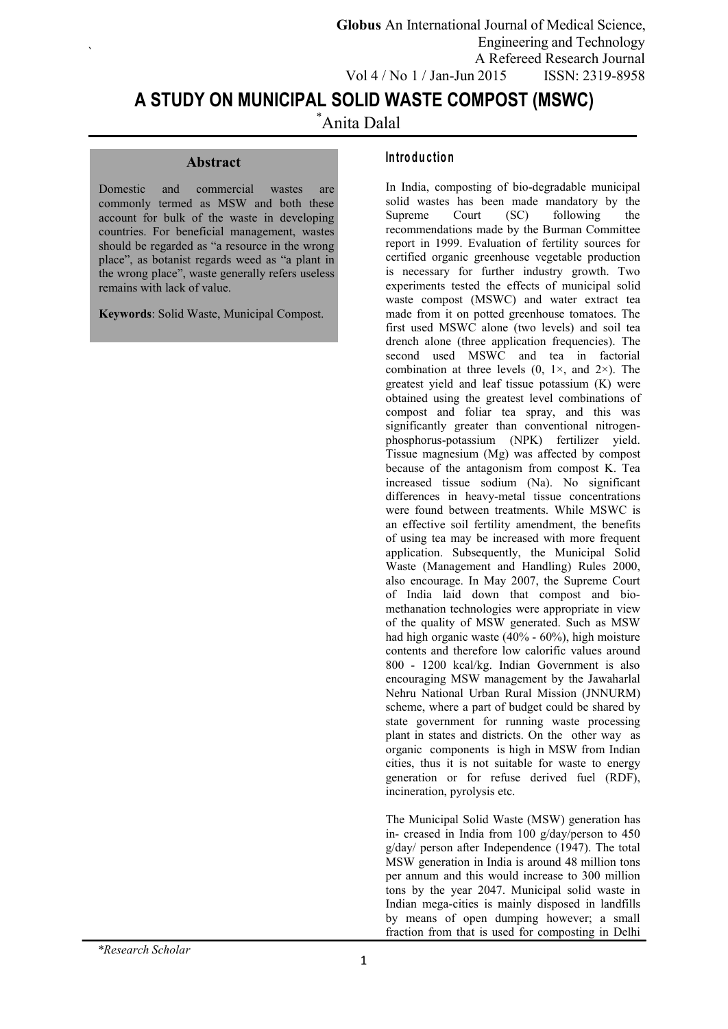# **A STUDY ON MUNICIPAL SOLID WASTE COMPOST (MSWC)**

\*Anita Dalal

#### **Abstract**

 $\sum_{i=1}^{n} a_i$ 

Domestic and commercial wastes are commonly termed as MSW and both these account for bulk of the waste in developing countries. For beneficial management, wastes should be regarded as "a resource in the wrong place", as botanist regards weed as "a plant in the wrong place", waste generally refers useless remains with lack of value.

**Keywords**: Solid Waste, Municipal Compost.

#### **In tro d u c tion**

In India, composting of bio-degradable municipal solid wastes has been made mandatory by the<br>Supreme Court (SC) following the Supreme Court (SC) following the recommendations made by the Burman Committee report in 1999. Evaluation of fertility sources for certified organic greenhouse vegetable production is necessary for further industry growth. Two experiments tested the effects of municipal solid waste compost (MSWC) and water extract tea made from it on potted greenhouse tomatoes. The first used MSWC alone (two levels) and soil tea drench alone (three application frequencies). The second used MSWC and tea in factorial combination at three levels  $(0, 1)$ <sup> $\times$ </sup>, and  $2)$ <sup> $\times$ </sup>). The greatest yield and leaf tissue potassium (K) were obtained using the greatest level combinations of compost and foliar tea spray, and this was significantly greater than conventional nitrogen phosphorus-potassium (NPK) fertilizer yield. Tissue magnesium (Mg) was affected by compost because of the antagonism from compost K. Tea increased tissue sodium (Na). No significant differences in heavy-metal tissue concentrations were found between treatments. While MSWC is an effective soil fertility amendment, the benefits of using tea may be increased with more frequent application. Subsequently, the Municipal Solid Waste (Management and Handling) Rules 2000, also encourage. In May 2007, the Supreme Court of India laid down that compost and bio methanation technologies were appropriate in view of the quality of MSW generated. Such as MSW had high organic waste (40% - 60%), high moisture contents and therefore low calorific values around 800 - 1200 kcal/kg. Indian Government is also encouraging MSW management by the Jawaharlal Nehru National Urban Rural Mission (JNNURM) scheme, where a part of budget could be shared by state government for running waste processing plant in states and districts. On the other way as organic components is high in MSW from Indian cities, thus it is not suitable for waste to energy generation or for refuse derived fuel (RDF), incineration, pyrolysis etc.

The Municipal Solid Waste (MSW) generation has in- creased in India from 100 g/day/person to 450 g/day/ person after Independence (1947). The total MSW generation in India is around 48 million tons per annum and this would increase to 300 million tons by the year 2047. Municipal solid waste in Indian mega-cities is mainly disposed in landfills by means of open dumping however; a small fraction from that is used for composting in Delhi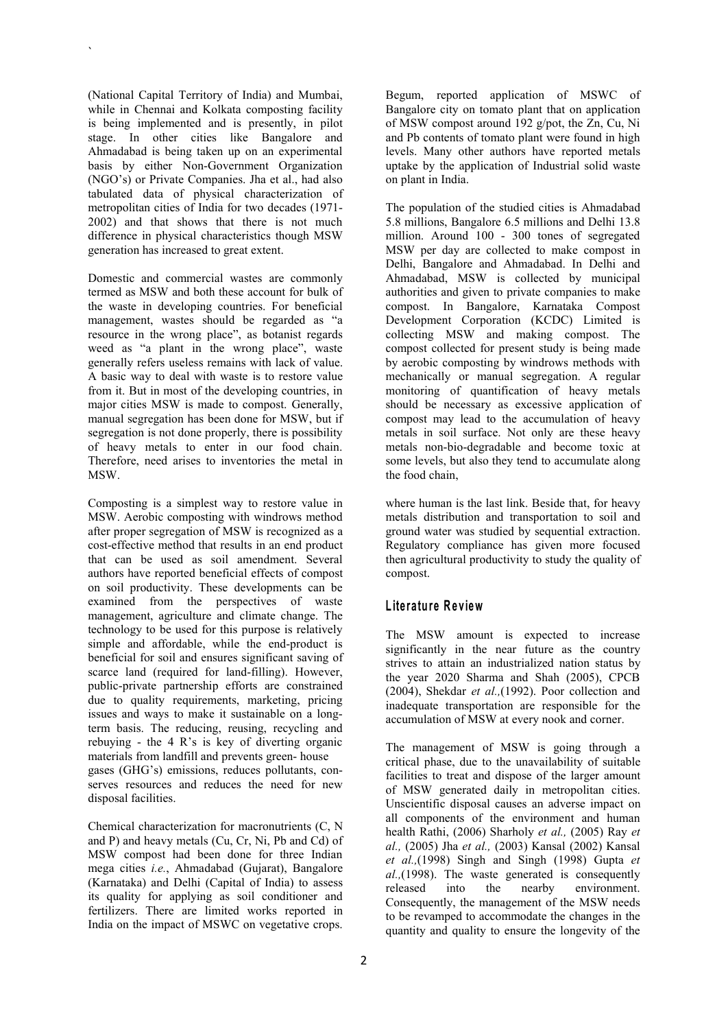(National Capital Territory of India) and Mumbai, while in Chennai and Kolkata composting facility is being implemented and is presently, in pilot stage. In other cities like Bangalore and Ahmadabad is being taken up on an experimental basis by either Non-Government Organization (NGO's) or Private Companies. Jha et al., had also tabulated data of physical characterization of metropolitan cities of India for two decades (1971- 2002) and that shows that there is not much difference in physical characteristics though MSW generation has increased to great extent.

 $\sum_{i=1}^{n} a_i$ 

Domestic and commercial wastes are commonly termed as MSW and both these account for bulk of the waste in developing countries. For beneficial management, wastes should be regarded as "a resource in the wrong place", as botanist regards weed as "a plant in the wrong place", waste generally refers useless remains with lack of value. A basic way to deal with waste is to restore value from it. But in most of the developing countries, in major cities MSW is made to compost. Generally, manual segregation has been done for MSW, but if segregation is not done properly, there is possibility of heavy metals to enter in our food chain. Therefore, need arises to inventories the metal in MSW.

Composting is a simplest way to restore value in MSW. Aerobic composting with windrows method after proper segregation of MSW is recognized as a cost-effective method that results in an end product that can be used as soil amendment. Several authors have reported beneficial effects of compost on soil productivity. These developments can be examined from the perspectives of waste management, agriculture and climate change. The technology to be used for this purpose is relatively simple and affordable, while the end-product is beneficial for soil and ensures significant saving of scarce land (required for land-filling). However, public-private partnership efforts are constrained due to quality requirements, marketing, pricing issues and ways to make it sustainable on a long-<br>accumulation of MSW at every nook and corner. term basis. The reducing, reusing, recycling and rebuying - the 4 R's is key of diverting organic materials from landfill and prevents green- house gases (GHG's) emissions, reduces pollutants, con serves resources and reduces the need for new disposal facilities.

Chemical characterization for macronutrients (C, N and P) and heavy metals (Cu, Cr, Ni, Pb and Cd) of MSW compost had been done for three Indian mega cities *i.e.*, Ahmadabad (Gujarat), Bangalore (Karnataka) and Delhi (Capital of India) to assess released (Karnataka) and Delm (Capital of India) to assess<br>its quality for applying as soil conditioner and Consequently the fertilizers. There are limited works reported in India on the impact of MSWC on vegetative crops.

Begum, reported application of MSWC of Bangalore city on tomato plant that on application of MSW compost around 192 g/pot, the Zn, Cu, Ni and Pb contents of tomato plant were found in high levels. Many other authors have reported metals uptake by the application of Industrial solid waste on plant in India.

The population of the studied cities is Ahmadabad 5.8 millions, Bangalore 6.5 millions and Delhi 13.8 million. Around 100 - 300 tones of segregated MSW per day are collected to make compost in Delhi, Bangalore and Ahmadabad. In Delhi and Ahmadabad, MSW is collected by municipal authorities and given to private companies to make compost. In Bangalore, Karnataka Compost Development Corporation (KCDC) Limited is collecting MSW and making compost. The compost collected for present study is being made by aerobic composting by windrows methods with mechanically or manual segregation. A regular monitoring of quantification of heavy metals should be necessary as excessive application of compost may lead to the accumulation of heavy metals in soil surface. Not only are these heavy metals non-bio-degradable and become toxic at some levels, but also they tend to accumulate along the food chain,

where human is the last link. Beside that, for heavy metals distribution and transportation to soil and ground water was studied by sequential extraction. Regulatory compliance has given more focused then agricultural productivity to study the quality of compost.

#### $L$  **iterature** Review

The MSW amount is expected to increase significantly in the near future as the country strives to attain an industrialized nation status by the year 2020 Sharma and Shah (2005), CPCB  $(2004)$ , Shekdar *et al.*, $(1992)$ . Poor collection and inadequate transportation are responsible for the

The management of MSW is going through a critical phase, due to the unavailability of suitable facilities to treat and dispose of the larger amount of MSW generated daily in metropolitan cities. Unscientific disposal causes an adverse impact on all components of the environment and human health Rathi, (2006) Sharholy *et al.,* (2005) Ray *et al.,* (2005) Jha *et al.,* (2003) Kansal (2002) Kansal *et al.,*(1998) Singh and Singh (1998) Gupta *et al.,*(1998). The waste generated is consequently the nearby environment. Consequently, the management of the MSW needs to be revamped to accommodate the changes in the quantity and quality to ensure the longevity of the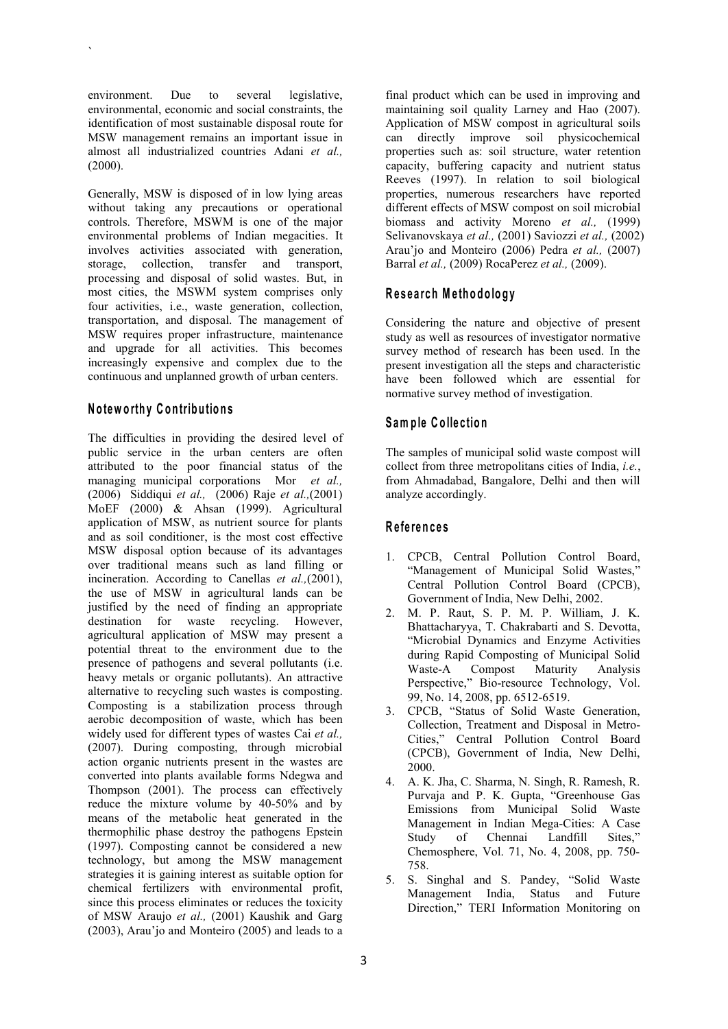environment. Due to several legislative, environmental, economic and social constraints, the identification of most sustainable disposal route for MSW management remains an important issue in almost all industrialized countries Adani *et al.,* (2000).

 $\sum_{i=1}^{n} a_i$ 

Generally, MSW is disposed of in low lying areas without taking any precautions or operational controls. Therefore, MSWM is one of the major environmental problems of Indian megacities. It involves activities associated with generation, storage, collection, transfer and transport, processing and disposal of solid wastes. But, in most cities, the MSWM system comprises only four activities, i.e., waste generation, collection, transportation, and disposal. The management of MSW requires proper infrastructure, maintenance and upgrade for all activities. This becomes increasingly expensive and complex due to the continuous and unplanned growth of urban centers.

#### **N o tew o rth y C o n trib u tio n s**

The difficulties in providing the desired level of public service in the urban centers are often attributed to the poor financial status of the managing municipal corporations Mor *et al.,* (2006) Siddiqui *et al.,* (2006) Raje *et al.,*(2001) MoEF (2000) & Ahsan (1999). Agricultural application of MSW, as nutrient source for plants and as soil conditioner, is the most cost effective MSW disposal option because of its advantages over traditional means such as land filling or incineration. According to Canellas *et al.,*(2001), the use of MSW in agricultural lands can be justified by the need of finding an appropriate destination for waste recycling. However, agricultural application of MSW may present a potential threat to the environment due to the presence of pathogens and several pollutants (i.e. Waste-A heavy metals or organic pollutants). An attractive alternative to recycling such wastes is composting. Composting is a stabilization process through  $\frac{3}{2}$ aerobic decomposition of waste, which has been<br>Collection, Treatment and Disposal in Metrowidely used for different types of wastes Cai *et al.,* (2007). During composting, through microbial action organic nutrients present in the wastes are converted into plants available forms Ndegwa and Thompson (2001). The process can effectively reduce the mixture volume by 40-50% and by means of the metabolic heat generated in the thermophilic phase destroy the pathogens Epstein Study of (1997). Composting cannot be considered a new technology, but among the MSW management strategies it is gaining interest as suitable option for chemical fertilizers with environmental profit, since this process eliminates or reduces the toxicity of MSW Araujo *et al.,* (2001) Kaushik and Garg (2003), Arau'jo and Monteiro (2005) and leads to a

final product which can be used in improving and maintaining soil quality Larney and Hao (2007). Application of MSW compost in agricultural soils can directly improve soil physicochemical properties such as: soil structure, water retention capacity, buffering capacity and nutrient status Reeves (1997). In relation to soil biological properties, numerous researchers have reported different effects of MSW compost on soil microbial biomass and activity Moreno *et al.,* (1999) Selivanovskaya *et al.,* (2001) Saviozzi *et al.,* (2002) Arau'jo and Monteiro (2006) Pedra *et al.*, (2007) Barral *et al.,* (2009) RocaPerez *et al.,* (2009).

## **R e s e a rch M e th o d o lo g y**

Considering the nature and objective of present study as well as resources of investigator normative survey method of research has been used. In the present investigation all the steps and characteristic have been followed which are essential for normative survey method of investigation.

## **Sam p le C o lle c tio n**

The samples of municipal solid waste compost will collect from three metropolitans cities of India, *i.e.*, from Ahmadabad, Bangalore, Delhi and then will analyze accordingly.

### **R e fe ren c e s**

- 1. CPCB, Central Pollution Control Board, "Management of Municipal Solid Wastes," Central Pollution Control Board (CPCB), Government of India, New Delhi, 2002.
- 2. M. P. Raut, S. P. M. P. William, J. K. Bhattacharyya, T. Chakrabarti and S. Devotta, "Microbial Dynamics and Enzyme Activities during Rapid Composting of Municipal Solid Compost Maturity Analysis Perspective," Bio-resource Technology, Vol. 99, No. 14, 2008, pp. 6512-6519.
- 3. CPCB, "Status of Solid Waste Generation, Cities," Central Pollution Control Board (CPCB), Government of India, New Delhi, 2000.
- 4. A. K. Jha, C. Sharma, N. Singh, R. Ramesh, R. Purvaja and P. K. Gupta, "Greenhouse Gas Emissions from Municipal Solid Waste Management in Indian Mega-Cities: A Case Chennai Landfill Sites," Chemosphere, Vol. 71, No. 4, 2008, pp. 750- 758.
- 5. S. Singhal and S. Pandey, "Solid Waste Management India, Status and Future Direction," TERI Information Monitoring on